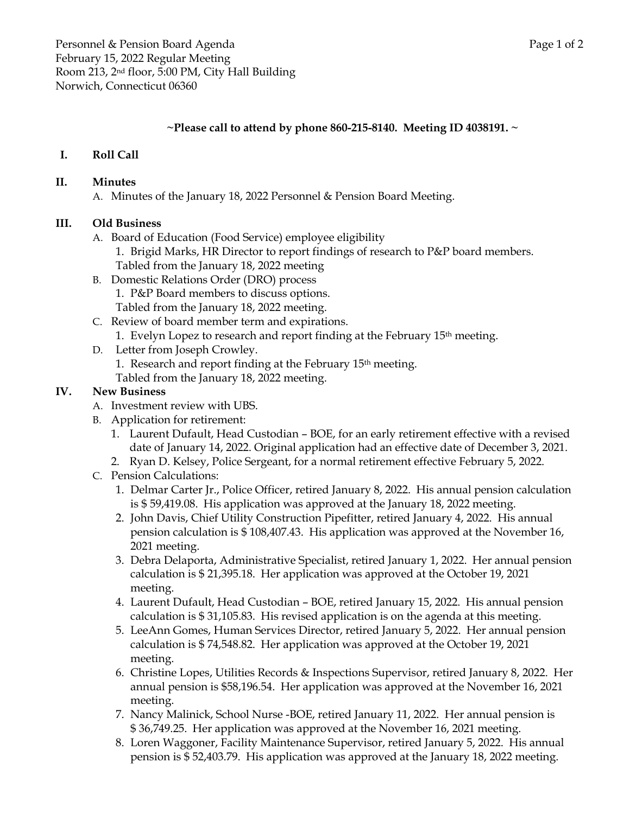## **~Please call to attend by phone 860-215-8140. Meeting ID 4038191. ~**

# **I. Roll Call**

#### **II. Minutes**

A. Minutes of the January 18, 2022 Personnel & Pension Board Meeting.

## **III. Old Business**

- A. Board of Education (Food Service) employee eligibility
	- 1. Brigid Marks, HR Director to report findings of research to P&P board members. Tabled from the January 18, 2022 meeting
- B. Domestic Relations Order (DRO) process 1. P&P Board members to discuss options. Tabled from the January 18, 2022 meeting.
- C. Review of board member term and expirations. 1. Evelyn Lopez to research and report finding at the February 15th meeting.
- D. Letter from Joseph Crowley.
	- 1. Research and report finding at the February 15th meeting.
	- Tabled from the January 18, 2022 meeting.

## **IV. New Business**

- A. Investment review with UBS.
- B. Application for retirement:
	- 1. Laurent Dufault, Head Custodian BOE, for an early retirement effective with a revised date of January 14, 2022. Original application had an effective date of December 3, 2021.
	- 2. Ryan D. Kelsey, Police Sergeant, for a normal retirement effective February 5, 2022.
- C. Pension Calculations:
	- 1. Delmar Carter Jr., Police Officer, retired January 8, 2022. His annual pension calculation is \$ 59,419.08. His application was approved at the January 18, 2022 meeting.
	- 2. John Davis, Chief Utility Construction Pipefitter, retired January 4, 2022. His annual pension calculation is \$ 108,407.43. His application was approved at the November 16, 2021 meeting.
	- 3. Debra Delaporta, Administrative Specialist, retired January 1, 2022. Her annual pension calculation is \$ 21,395.18. Her application was approved at the October 19, 2021 meeting.
	- 4. Laurent Dufault, Head Custodian BOE, retired January 15, 2022. His annual pension calculation is \$ 31,105.83. His revised application is on the agenda at this meeting.
	- 5. LeeAnn Gomes, Human Services Director, retired January 5, 2022. Her annual pension calculation is \$ 74,548.82. Her application was approved at the October 19, 2021 meeting.
	- 6. Christine Lopes, Utilities Records & Inspections Supervisor, retired January 8, 2022. Her annual pension is \$58,196.54. Her application was approved at the November 16, 2021 meeting.
	- 7. Nancy Malinick, School Nurse -BOE, retired January 11, 2022. Her annual pension is \$ 36,749.25. Her application was approved at the November 16, 2021 meeting.
	- 8. Loren Waggoner, Facility Maintenance Supervisor, retired January 5, 2022. His annual pension is \$ 52,403.79. His application was approved at the January 18, 2022 meeting.